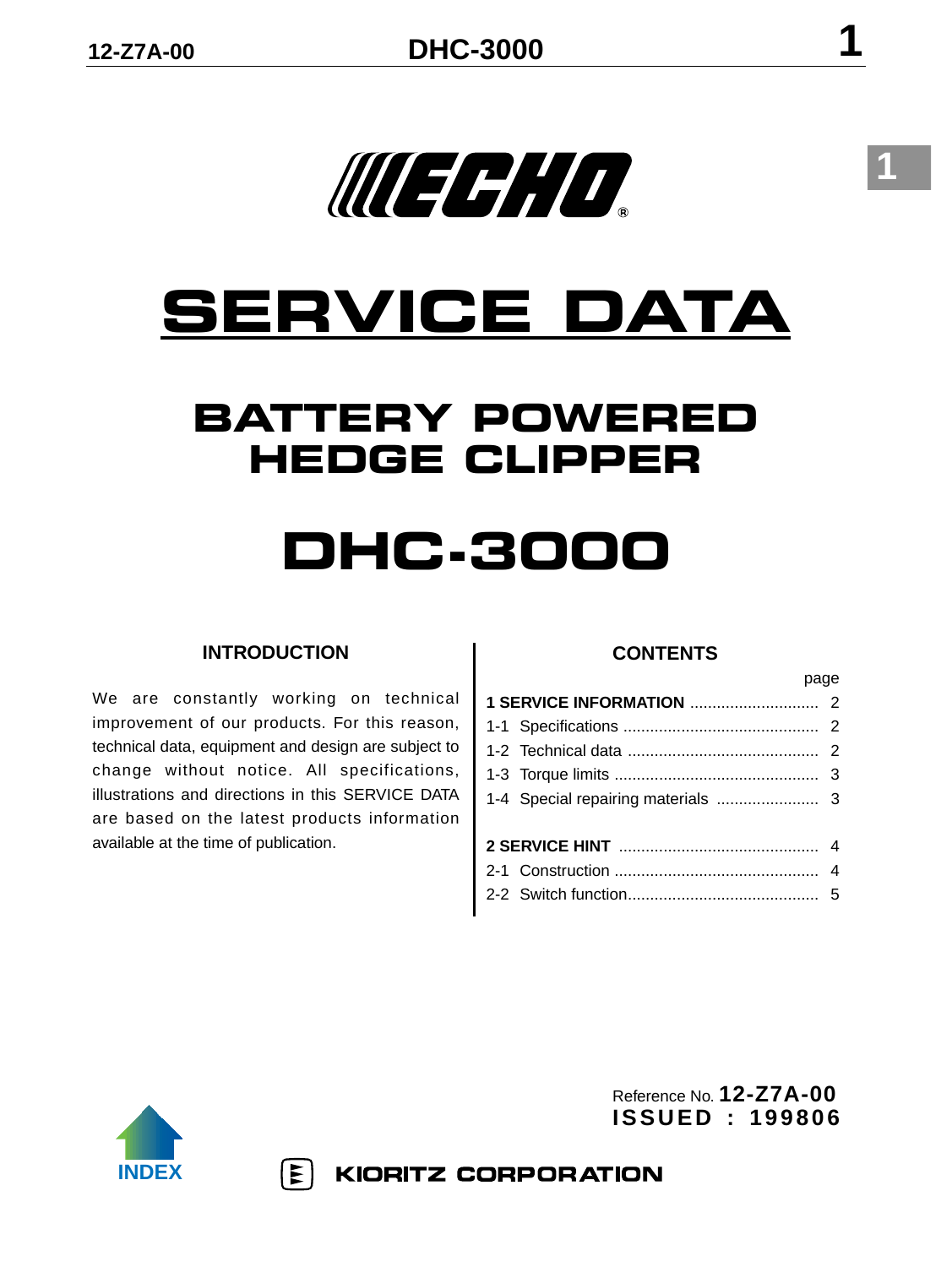# **SERVICE DATA**

WECH IO

### **BATTERY POWERED HEDGE CLIPPER**

### **DHC-3000**

#### **INTRODUCTION**

We are constantly working on technical improvement of our products. For this reason, technical data, equipment and design are subject to change without notice. All specifications, illustrations and directions in this SERVICE DATA are based on the latest products information available at the time of publication.

 $|\mathbf{\Sigma}|$ 

#### **CONTENTS**

page

| <u>payo</u> |  |
|-------------|--|
|             |  |
|             |  |
|             |  |
|             |  |
|             |  |
|             |  |
|             |  |
|             |  |
|             |  |



Reference No. **12-Z7A-00 ISSUED : 199806**

**KIORITZ CORPORATION**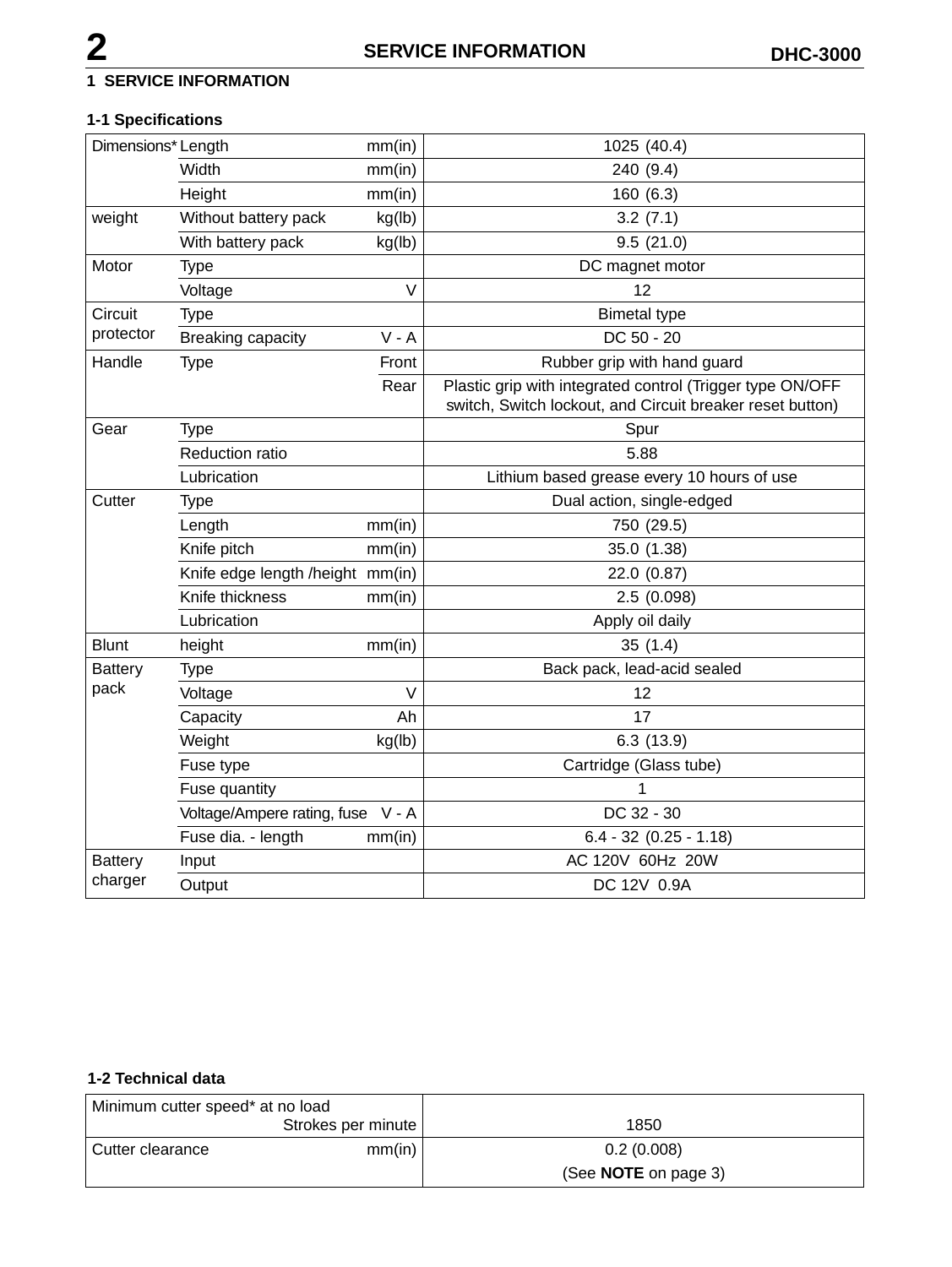#### **1 SERVICE INFORMATION**

#### **1-1 Specifications**

| Dimensions* Length |                                        | mm(in)  | 1025 (40.4)                                                                                                            |  |
|--------------------|----------------------------------------|---------|------------------------------------------------------------------------------------------------------------------------|--|
|                    | Width                                  | mm(in)  | 240 (9.4)                                                                                                              |  |
|                    | Height                                 | mm(in)  | 160(6.3)                                                                                                               |  |
| weight             | Without battery pack                   | kg(lb)  | 3.2(7.1)                                                                                                               |  |
|                    | With battery pack                      | kg(lb)  | 9.5(21.0)                                                                                                              |  |
| Motor              | Type                                   |         | DC magnet motor                                                                                                        |  |
|                    | Voltage                                | V       | 12                                                                                                                     |  |
| Circuit            | Type                                   |         | <b>Bimetal type</b>                                                                                                    |  |
| protector          | Breaking capacity                      | $V - A$ | DC 50 - 20                                                                                                             |  |
| Handle             | <b>Type</b>                            | Front   | Rubber grip with hand guard                                                                                            |  |
|                    |                                        | Rear    | Plastic grip with integrated control (Trigger type ON/OFF<br>switch, Switch lockout, and Circuit breaker reset button) |  |
| Gear               | <b>Type</b>                            |         | Spur                                                                                                                   |  |
|                    | Reduction ratio                        |         | 5.88                                                                                                                   |  |
|                    | Lubrication                            |         | Lithium based grease every 10 hours of use                                                                             |  |
| Cutter             | <b>Type</b>                            |         | Dual action, single-edged                                                                                              |  |
|                    | Length                                 | mm(in)  | 750 (29.5)                                                                                                             |  |
|                    | Knife pitch                            | mm(in)  | 35.0 (1.38)                                                                                                            |  |
|                    | Knife edge length /height mm(in)       |         | 22.0 (0.87)                                                                                                            |  |
|                    | Knife thickness                        | mm(in)  | 2.5(0.098)                                                                                                             |  |
|                    | Lubrication                            |         | Apply oil daily                                                                                                        |  |
| <b>Blunt</b>       | height                                 | mm(in)  | 35(1.4)                                                                                                                |  |
| <b>Battery</b>     | <b>Type</b>                            |         | Back pack, lead-acid sealed                                                                                            |  |
| pack               | Voltage                                | $\vee$  | 12                                                                                                                     |  |
|                    | Capacity                               | Ah      | 17                                                                                                                     |  |
|                    | Weight                                 | kg(lb)  | 6.3(13.9)                                                                                                              |  |
|                    | Fuse type                              |         | Cartridge (Glass tube)                                                                                                 |  |
|                    | Fuse quantity                          |         | 1                                                                                                                      |  |
|                    | Voltage/Ampere rating, fuse<br>$V - A$ |         | DC 32 - 30                                                                                                             |  |
|                    | Fuse dia. - length                     | mm(in)  | $6.4 - 32 (0.25 - 1.18)$                                                                                               |  |
| <b>Battery</b>     | Input                                  |         | AC 120V 60Hz 20W                                                                                                       |  |
| charger            | Output                                 |         | DC 12V 0.9A                                                                                                            |  |

#### **1-2 Technical data**

| Minimum cutter speed* at no load |                    |                             |
|----------------------------------|--------------------|-----------------------------|
|                                  | Strokes per minute | 1850                        |
| Cutter clearance                 | mm(in)             | 0.2(0.008)                  |
|                                  |                    | (See <b>NOTE</b> on page 3) |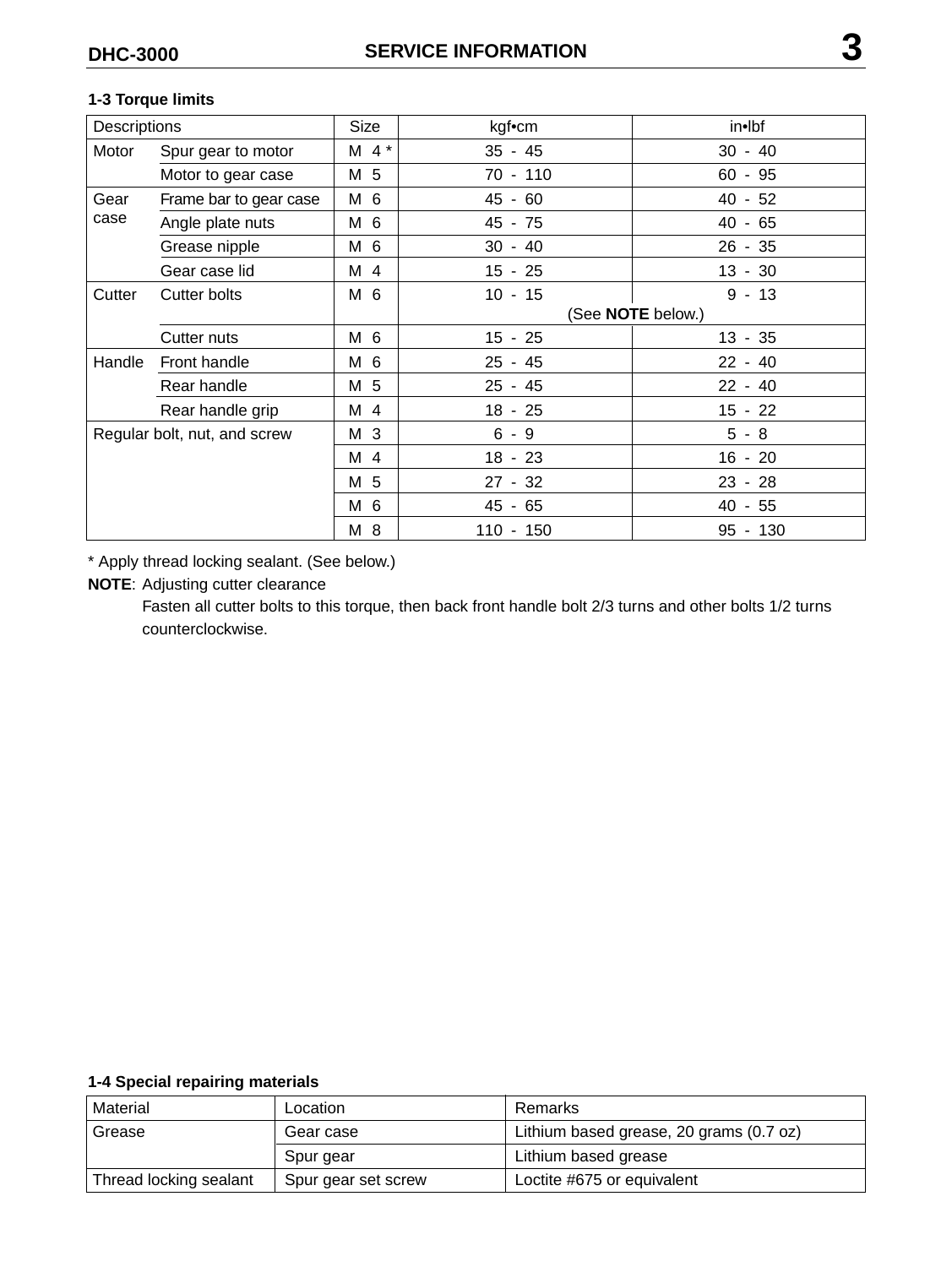#### **1-3 Torque limits**

| Descriptions                 |                        | Size      | kgf•cm            | in•lbf    |  |
|------------------------------|------------------------|-----------|-------------------|-----------|--|
| Motor                        | Spur gear to motor     | $M$ 4 $*$ | $35 - 45$         | $30 - 40$ |  |
|                              | Motor to gear case     | M 5       | $70 - 110$        | $60 - 95$ |  |
| Gear<br>case                 | Frame bar to gear case | M 6       | $45 - 60$         | $40 - 52$ |  |
|                              | Angle plate nuts       | M 6       | 45 - 75           | $40 - 65$ |  |
|                              | Grease nipple          | M 6       | $30 - 40$         | $26 - 35$ |  |
|                              | Gear case lid          | M 4       | $15 - 25$         | $13 - 30$ |  |
| Cutter                       | Cutter bolts           | M 6       | $10 - 15$         | $9 - 13$  |  |
|                              |                        |           | (See NOTE below.) |           |  |
|                              | Cutter nuts            | M 6       | 15 - 25           | 13 - 35   |  |
| Handle                       | Front handle           | M 6       | $25 - 45$         | $22 - 40$ |  |
|                              | Rear handle            | M 5       | $25 - 45$         | $22 - 40$ |  |
|                              | Rear handle grip       | M 4       | $18 - 25$         | $15 - 22$ |  |
| Regular bolt, nut, and screw |                        | M 3       | $6 - 9$           | $5 - 8$   |  |
|                              |                        | M 4       | $18 - 23$         | $16 - 20$ |  |
|                              |                        | M 5       | $27 - 32$         | $23 - 28$ |  |
|                              |                        | M 6       | 45 - 65           | 40 - 55   |  |
|                              |                        | M 8       | 110 - 150         | 95 - 130  |  |

\* Apply thread locking sealant. (See below.)

#### **NOTE**: Adjusting cutter clearance

Fasten all cutter bolts to this torque, then back front handle bolt 2/3 turns and other bolts 1/2 turns counterclockwise.

#### **1-4 Special repairing materials**

| Material               | Location            | Remarks                                 |  |
|------------------------|---------------------|-----------------------------------------|--|
| Grease                 | Gear case           | Lithium based grease, 20 grams (0.7 oz) |  |
|                        | Spur gear           | Lithium based grease                    |  |
| Thread locking sealant | Spur gear set screw | Loctite #675 or equivalent              |  |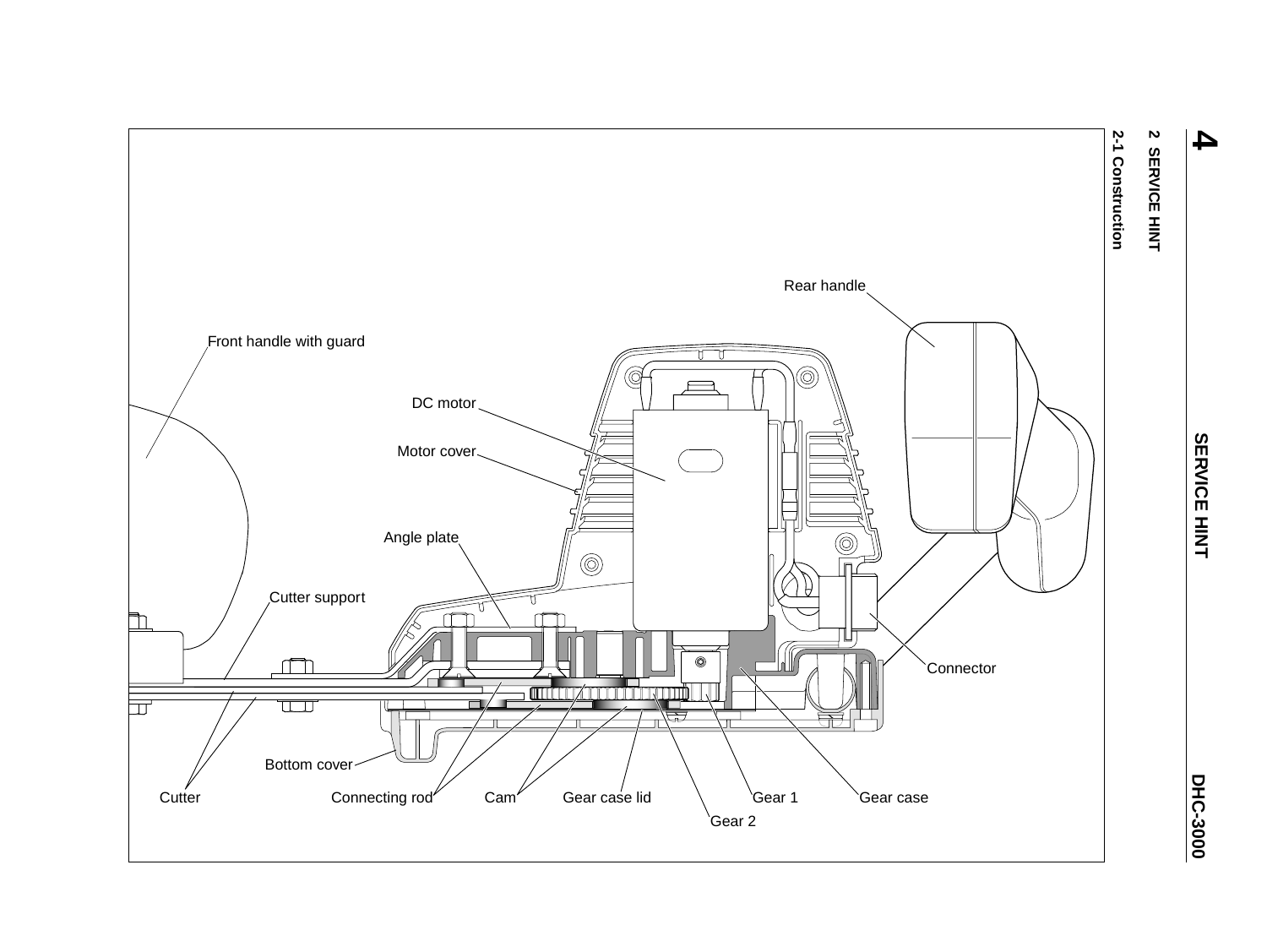

## 2 SERVICE HINT **2 SERVICE HINT**

**4**